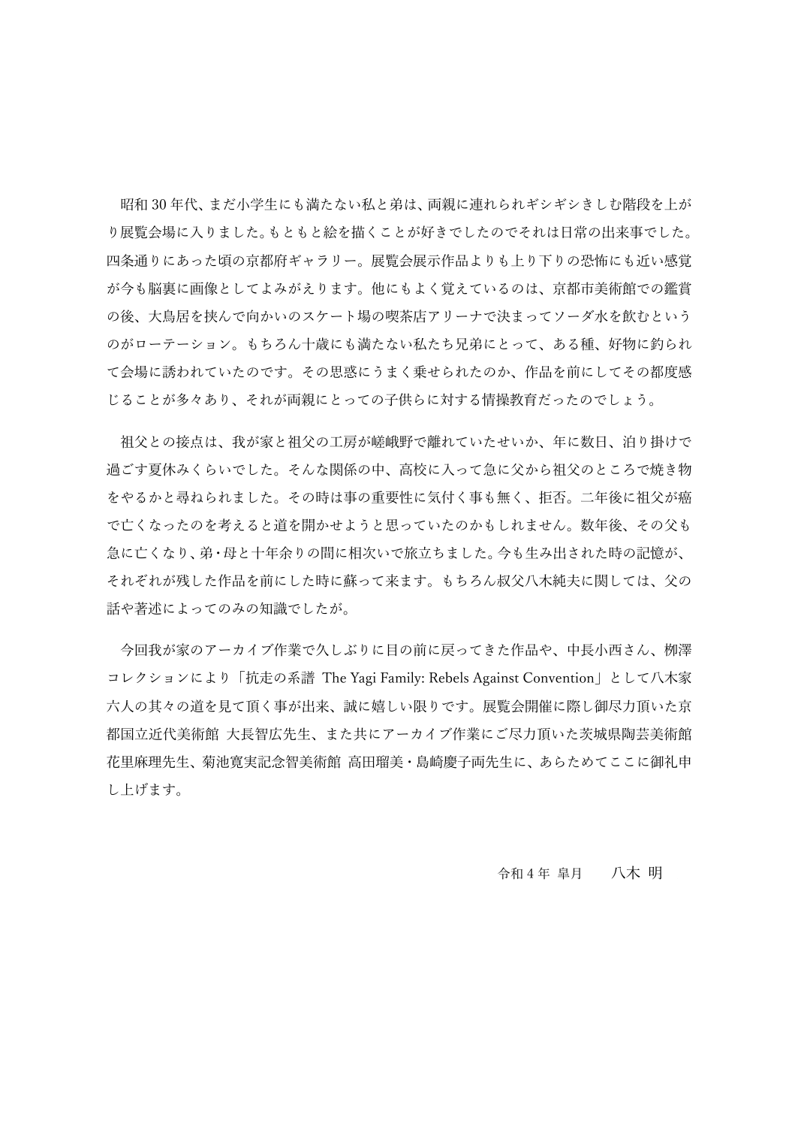昭和30年代、まだ小学生にも満たない私と弟は、両親に連れられギシギシきしむ階段を上が り展覧会場に入りました。もともと絵を描くことが好きでしたのでそれは日常の出来事でした。 四条通りにあった頃の京都府ギャラリー。展覧会展⽰作品よりも上り下りの恐怖にも近い感覚 が今も脳裏に画像としてよみがえります。他にもよく覚えているのは、京都市美術館での鑑賞 の後、大鳥居を挟んで向かいのスケート場の喫茶店アリーナで決まってソーダ水を飲むという のがローテーション。もちろん十歳にも満たない私たち兄弟にとって、ある種、好物に釣られ て会場に誘われていたのです。その思惑にうまく乗せられたのか、作品を前にしてその都度感 じることが多々あり、それが両親にとっての⼦供らに対する情操教育だったのでしょう。

祖父との接点は、我が家と祖父の工房が嵯峨野で離れていたせいか、年に数日、泊り掛けで 過ごす夏休みくらいでした。そんな関係の中、高校に入って急に父から祖父のところで焼き物 をやるかと尋ねられました。その時は事の重要性に気付く事も無く、拒否。二年後に祖父が癌 で亡くなったのを考えると道を開かせようと思っていたのかもしれません。数年後、その父も 急に亡くなり、弟・⺟と⼗年余りの間に相次いで旅⽴ちました。今も⽣み出された時の記憶が、 それぞれが残した作品を前にした時に蘇って来ます。もちろん叔父八木純夫に関しては、父の 話や著述によってのみの知識でしたが。

今回我が家のアーカイブ作業で久しぶりに目の前に戻ってきた作品や、中長小西さん、栁澤 コレクションにより「抗走の系譜 The Yagi Family: Rebels Against Convention」として八木家 六人の其々の道を見て頂く事が出来、誠に嬉しい限りです。展覧会開催に際し御尽力頂いた京 都国立近代美術館 大長智広先生、また共にアーカイブ作業にご尽力頂いた茨城県陶芸美術館 花里麻理先生、菊池寛実記念智美術館 高田瑠美・島崎慶子両先生に、あらためてここに御礼申 し上げます。

令和4年 皐月 八木 明